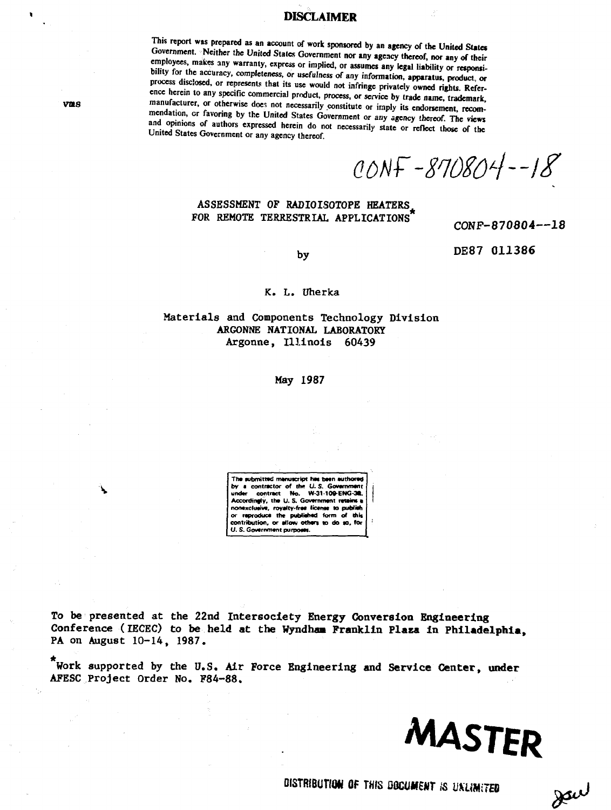## **DISCLAIMER**

**This report was prepared as an account of work sponsored by an agency of the United States** Government. Neither the United States Government nor any agency thereof, nor any of their employees, makes any warranty, express or implied, or assumes any legal liability or responsibility for the accuracy, completeness, or usefulness of any information, apparatus, product, or process disclosed, or represents that its use would not infringe privately owned rights. Refer**ence herein to any specific commercial product, process, or service by trade name, trademark** manufacturer, or otherwise does not necessarily constitute or imply its endorsement, recommendation, or favoring by the United States Government or any agency thereof. The views and opinions of authors expressed herein do not necessarily state or reflect those of the **united Mates Government or any agency thereof.**

 $CONF - 870804 - 18$ 

# ASSESSMENT OF RADIOISOTOPE HEATERS FOR REMOTE TERRESTRIAL **APPLICATIONS**

**CONF-870804—18**

**by**

**DE87 011386**

## **K. L. Uherka**

## **Materials and Components Technology Division ARGONNE NATIONAL LABORATORY Argonne, Illinois 60439**

## **May 1987**

**The submitted manuacript has been authored** by a contractor of the U.S. Gov **undar contract No. W-3M09-ENG-3I. Accordinfly, tha U. S. Govammant rataim a nonaxcluaiva, royaltv-fraa licanti w puWiah** or reproduce the published form of this **contribution, or allow othars to do to, for U. S. Govarnmant purpotat.**

**To be presented** at **the 22nd Intersociety Energy Conversion Engineering** Conference (IECEC) **to be held at the Wyndhaa Franklin Plaza in Philadelphia,** PA on August 10-14, **1987.**

**Work supported by the** U.S. **Air Force Engineering and Service Center, under** AFESC Project Order No. F84-88.



**DISTRIBUTION OF THIS DOCUMENT IS UKLIMITED** 

Jav

**VMS**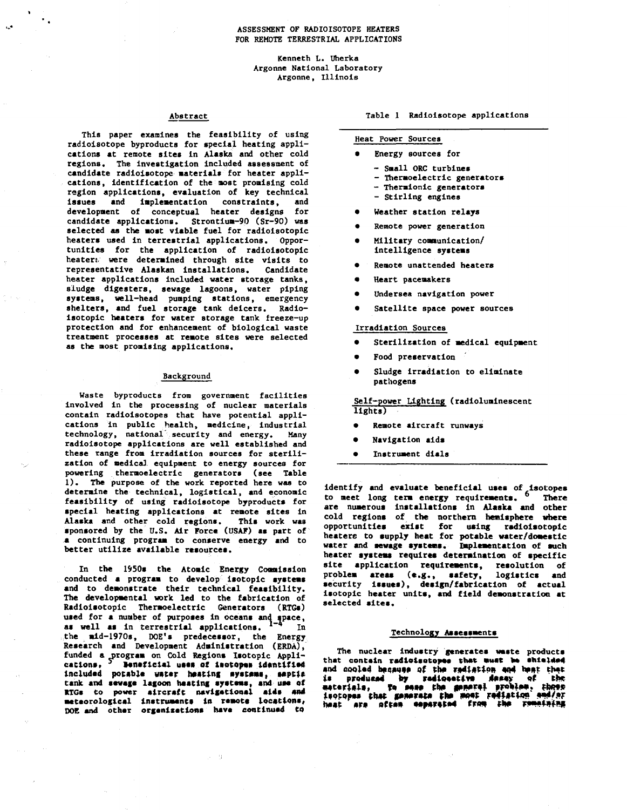**Kenneth L. Uherka Argonne National Laboratory Argonne, Illinois**

## **Abstract**

**This paper examines the feasibility of using radloisotope byproducts for special heating applications at remote sites In Alaska and other cold regions. The investigation included assessment of candidate radloisotope materials for heater applications, identification of the most promising cold region applications, evaluation of key technical issues and implementation constraints, and development of conceptual heater designs for candidate applications. Strontiua-90 (Sr-90) was selected as the most viable fuel for radioisotopic heaters used In terrestrial applications. Opportunities for the application of radioisotopic heaten were determined through site visits to representative Alaskan Installations. Candidate heater applications included water storage tanks, sludge digesters, sewage lagoons, water piping systems, well-head pumping stations, emergency shelters, and fuel storage tank deicers. Radioisotopic heaters for water storage tank freeze-up protection and for enhancement of biological waste treatment processes at remote sites were selected as the most promising applications.**

## **Background**

**Waste byproducts from government facilities involved in the processing of nuclear materials contain radioisotopes that have potential applications in public health, medicine, industrial technology, national security and energy. Many radioisotope applications are well established and these range from irradiation sources for sterilization of medical equipment to energy sources for powering thermoelectric generators (see Table 1 ) . The purpose of the work reported here was to determine the technical, logistical, and economic feasibility of using radloisotope byproducts for special heating applications at remote sites in Alaska and other cold regions. This work was sponsored by the U.S. Air Force (USAF) as part of a continuing program to conserve energy and to better utilize available resources.**

**In the 1950s the Atomic Energy Commission conducted a program to develop isotopic systems and to demonstrate their technical feasibility. The developmental work led to the fabrication of Radioisotopic Thermoelectric Generators (RTGs) used for a nuuber of purposes in oceans and space,** as well as in terrestrial applications. <sup>1-4</sup> In **the mid-1970s, DOE's predecessor, the Energy Research and Development Administration (ERDA), funded a .program on Cold Regions Isotopic Applications.** <sup>5</sup> **seneficial uses of increase identified Included potabjs water heating systems, septl\* tank and sewage lagoon heating systems, and use of KTGs to power aircraft navigational aids «n4 meteorological Instruments In remote locations, DOE and other organizations have continued to**

 $\sim$ 

**Table 1 Radioisotope applications**

## **Heat Power Sources**

- **e Energy sources for**
	- **Small ORC turbines**
	- **Thermoelectric generators**
	- **Thermionic generators**
	- **Stirling engines**
- **Weather station relays**
- **e Remote power generation**
- **Military communication/ intelligence systems**
- **e Remote unattended heaters**
- **e Heart pacemakers**
- **e Undersea navigation power**
- **e Satellite space power sources**

## **Irradiation Sources**

- **e Sterilization of medical equipment**
- **Food preservation**
- **e Sludge Irradiation to eliminate pathogens**

**Self-power Lighting (radiolumlnescent lights)**

- **Remote aircraft runways**
- **e Navigation aids**
- **e Instrument dials**

**identify and evaluate beneficial uses of Isotopes to meet long term energy requirements. There are numerous installations in Alaska and other cold regions of the northern hemisphere where opportunities exist for using radioisotopic heaters to supply heat for potable water/domestic water and sewage systems. Implementation of such heater systems requires determination of specific** site application requirements, resolution of **problem areas (e.g., safety, logistics and security issues), design/fabrication of actual isotopic heater units, and field demonstration at selected sites.**

## **Technology Assessments**

**The nuclear industry generates waste products** that contain radioisotopee that wust be shielded and cooled because of the rediation and heat that is produced by redicoestva desay of the<br>materials, to mase the general problem, thore<br>inctopes that generate the most rediation and/or<br>heat are often coparated from the ramaining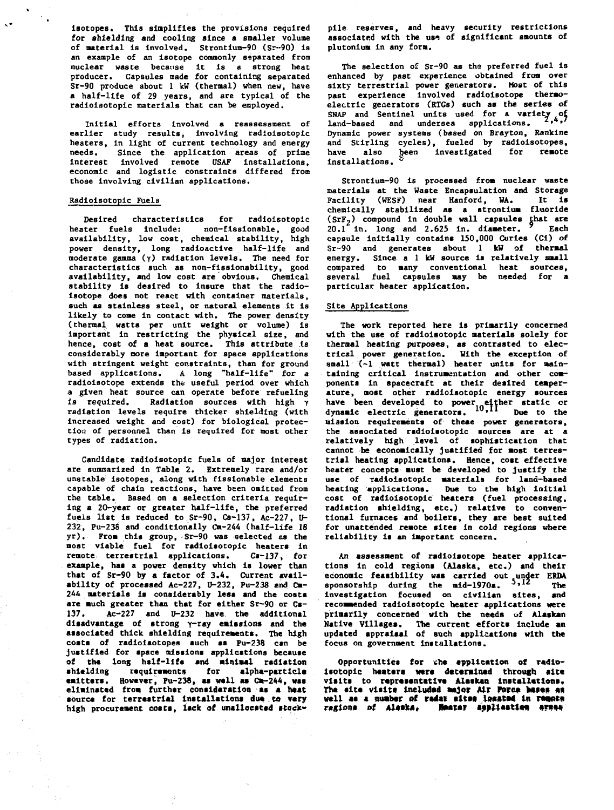**isotopes. This simplifies the provisions required for shielding and cooling since a smaller volume of material is involved. Strontium-90 (Sr--90) is an example of an isotope commonly separated from nuclear waste because It is a strong heat producer. Capsules made for containing separated Sr-90 produce about 1 kW (thermal) when new, have a half-life of 29 years, and are typical of the radioisotopic materials that can be employed.**

**Initial efforts Involved a reassessment of earlier study results, involving radioisotopic heaters, in light of current technology and energy needs. Since the application areas of prime Interest Involved remote USAF Installations, economic and logistic constraints differed from those involving civilian applications.**

## **Radioisotopic Fuels**

**Desired characteristics for radioisotopic heater fuels include: non-fissionable, good availability, low cost, chemical stability, high power density, long radioactive half-life and moderate gamma (y) radiation levels. The need for characteristics such as non-flsslonabillty, good availability, and low cost are obvious. Chemical stability is desired to insure that the radioisotope does not react with container materials, such as stainless steel, or natural elements it is likely to come in contact with. The power density (thermal watts per unit weight or volume) is important in restricting the physical size, and hence, cost of a heat source. This attribute Is considerably more important for space applications with stringent weight constraints, than for ground based applications. A long "half-life" for a radioisotope extends the useful period over which a given heat source can operate before refueling is required. Radiation sources with high y radiation levels require thicker shielding (with increased weight and cost) for biological protection of personnel than Is required for most other types of radiation.**

**Candidate radioisotopic fuels of major interest are summarized in Table 2. Extremely rare and/or unstable isotopes, along with fissionable elements capable of chain reactions, have been omitted from the table. Based on a selection criteria requiring a 20-year or greater half-life, the preferred fuels list is reduced to Sr-90, Cs-137, Ac-227, U-232, Pu-238 and conditionally Cm-244 (half-life 18 yr). From this group, Sr-90 was selected as the most viable fuel for radioisotopic heaters in remote terrestrial applications. Ca-137, for example, has a power density which is lower than that of Sr-90 by a factor of 3.4. Current availability of processed Ac-227, U-232, Pu-238 and Cm-244 materials is considerably less and the costs are much greater than that for either Sr-90 or Cs-137. Ac-227 and U-232 have the additional disadvantage of strong y-ray emissions and the associated thick shielding requirements. The high costs of radioisotopes such as Pu-238 can be justified for space missions applications because of th\* long half-Ufa and minimal radiation shielding requirements for alpha-part id \* emitters. However, Pu-238, as wall as Cm-244, was eliminated from further consideration as a heat** source for terrestrial installations due to very high procurement costs, lack of unallocated stock-

**pile reserves, and heavy security restrictions associated with the us^ of significant amounts of plutonlum In any form.**

**The selection of Sr-90 as tha preferred fuel is enhanced by past experience obtained from over sixty terrestrial power generators. Most of this past experience Involved radlolsotope thermoelectric generators (RXGs) such as the series of SNAP and Sentinel units used for a variety of <sup>z</sup>»\*» land-based and undersea applications. Dynamic power systems (based on Brayton, Rankine and Stirling cycles), fueled by radioisotopes,** have also been investigated for remote<br> **have** also heen investigated for remote **Installations.**

**Strontium-90 is processed from nuclear waste materials at the Waste Encapsulation and Storage Facility (WESF) near Hanford, HA. It is chemically stabilized as a strontium fluoride (SrF2) compound in double wall capsules that are 20.1 in. long and 2.625 in. diameter. <sup>9</sup> Each capsule initially contains 150,000 Curies (Ci) of Sr-90 and generates about 1 kW of thermal energy. Since a 1 kW source is relatively small compared to many conventional heat sources, several fuel capsules may be needed for a particular heater application.**

## **Site Applications**

**The work reported here is primarily concerned with the use of radioisotopic materials solely for thermal heating purposes, as contrasted to electrical power generation. With the exception of** small  $(-1$  watt thermal) heater units for main**taining critical instrumentation and other components in spacecraft at their desired temperature, most other radioisotopic energy sources have been developed to power either static cr dynamic electric generators. IO.1I Due to the mission requirements of these power generators, the associated radioisotopic sources are at a relatively high level of sophistication that cannot be economically justified for most terrestrial heating applications. Hence, cost effective heater concepts must be developed to justify the use of radioisotopic materials for land-based heating applications. Due to the high initial cost of radioisotopic heaters (fuel processing, radiation shielding, etc.) relative to conventional furnaces and boilers, they are best suited for unattended remote sites in cold regions where reliability is an important concern.**

**An assessment of radlolsotope heater applications in cold regions (Alaska, etc.) and their economic feasibility was carried out under ERDA sponsorship during the mid-1970s. 5 ' <sup>1</sup> <sup>2</sup> The investigation focused on civilian sites, and recommended radioisotopic heater applications were primarily concerned with the needs of Alaskan** Native Villages. The current efforts include an **updated appraisal of such applications with the focus on government Installations.**

Opportunities for the application of radioisotopic heaters were determined through site **visits to representative Alaskan installations.** The site visite included major Air Force hases as well as a number of redax sites located in remote ragions of Aleska, Mestar application areas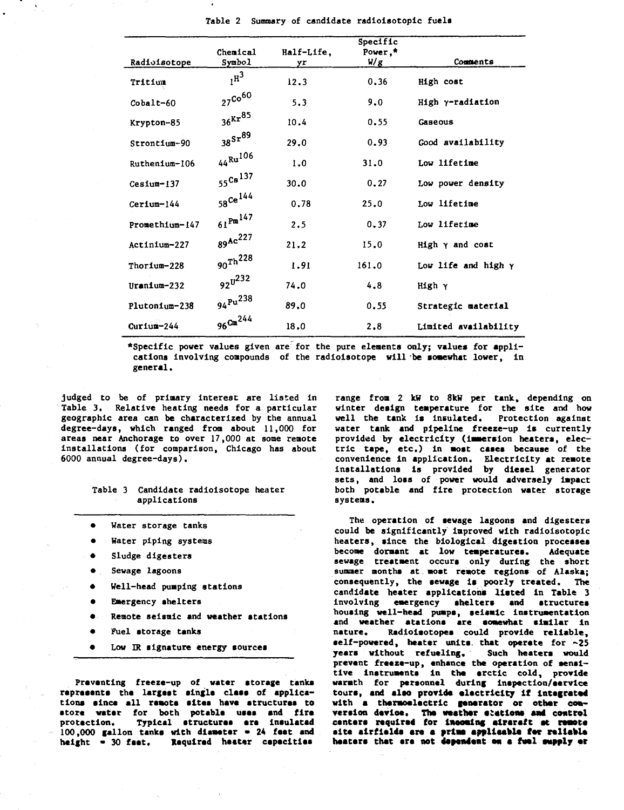|                 | Chemical                   | Half-Life, | Specific<br>Power,* |                            |
|-----------------|----------------------------|------------|---------------------|----------------------------|
| Radioisotope    | Symbol                     | yr         | W/g                 | Comments                   |
| Tritium         | $I^{\text{H}^3}$           | 12.3       | 0.36                | High cost                  |
| $Cobalt-60$     | $27^{\text{Co}^{60}}$      | 5.3        | 9.0                 | High y-radiation           |
| Krypton-85      | $36$ Kr $^{85}$            | 10.4       | 0.55                | Gaseous                    |
| Strontium-90    | $385x^{89}$                | 29.0       | 0.93                | Good availability          |
| Ruthenium-106   | $44$ <sup>Ru106</sup>      | 1.0        | 31.0                | Low lifetime               |
| $Ces1um-137$    | $55$ Cs <sup>137</sup>     | 30.0       | 0.27                | Low power density          |
| Cerium-144      | $58$ Ce <sup>144</sup>     | 0.78       | 25.0                | Low lifetime               |
| Promethium-147  | $61^{\mathrm{Pm}}^{147}$   | 2.5        | 0.37                | Low lifetime               |
| Actinium-227    | $89^{Ac^{227}}$            | 21.2       | 15.0                | $Hish \gamma$ and cost     |
| Thorium-228     | $_{\rm 90} \rm{Th} ^{228}$ | 1.91       | 161.0               | Low life and high $\gamma$ |
| Uranium-232     | $92^{\frac{1}{2}32}$       | 74.0       | 4.8                 | High γ                     |
| $Plutonfum-238$ | $94^{Pu}$ <sup>238</sup>   | 89.0       | 0.55                | Strategic material         |
| $Curium-244$    | $96^{\rm Cm}^{244}$        | 18.0       | 2.8                 | Limited availability       |

**Table 2 Summary of candidate radioisotopic fuels**

**•Specific power values given are for the pure elements only; values for applications involving compounds of the radioisotope will be somewhat lower, ln general.**

**judged to be of primary interest are listed in Table 3. Relative heating needs for a particular geographic area can be characterized by the annual degree-days, which ranged from about 11,000 for areas near Anchorage to over 17,000 at some remote installations (for comparison, Chicago has about 6000 annual degree-days).**

## **Table 3 Candidate radioisotope heater applications**

- **Water storage tanks**
- **Water piping systems**
- **Sludge digesters**
- **Sewage lagoons**
- **Well-head pumping stations**
- **Emergency shelters**
- **Remote seismic and weather stations**
- **Fuel storage tanks**
- **Low IR signature energy sources**

**Preventing freeze-up of water storage tanks represents the largest single class of applica**tions since all remote sites have structures to **store water for both potable uses and fire protection. Typical structures art insulated 100,000 gallon tanks with diameter • 24 feet and height - 30 faet. Required heater capacities**

**range froa 2 kW to 8kW per tank, depending on winter design temperature for the site and how well the tank is insulated. Protection against water tank and pipeline freeze-up is currently provided by electricity (immersion heaters, electric tape, etc.) in most cases because of the convenience in application. Electricity at remote installations Is provided by dlesel generator sets, and loss of power would adversely impact both potable and fire protection water storage systems.**

**The operation of sewage lagoons and digesters could be significantly improved with radioisotopic heaters, since the biological digestion processes become dormant at low temperatures. Adequate sewage treatment occurs only during the short summer months at most remote regions of Alaska; consequently, the sewage Is poorly treated. The candidate heater applications listed ln Table 3 Involving emergency shelters and structures housing well-head pumps, seismic instrumentation and weather atatlons are somewhat similar in nature. Radiolsotopes could provide reliable,** self-powered, heater units that operate for ~25 **years without refueling. Such heaters would prevent freeze-up, enhance the operation of sensitive Instruments ln the arctic cold, provide warmth for personnel during inspection/service tours, and also provide electricity If Integrated with a thermoelectric generator or other con**version device. The weather stations and control centers required for incoming aircraft at remote site airfields are a prime applicable for reliable **heaters that are not dependent en a fvel ewpfly er**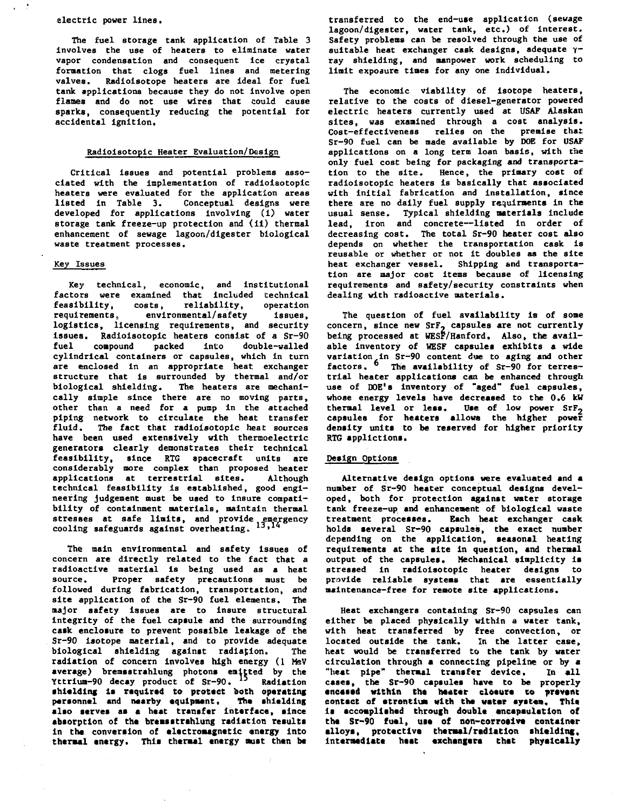## **electric power lines.**

**The fuel storage tank application of Table 3 involves the use of heaters to eliminate water vapor condensation and consequent Ice crystal formation that clogs fuel lines and metering valves. Radioisotope heaters are ideal for fuel tank applications because they do not involve open flames and do not use wires that could cause sparks, consequently reducing the potential for accidental ignition.**

## **Radioi8Qtopic Heater Evaluation/Design**

**Critical issues and potential problems associated with the Implementation of radioisotopic heaters were evaluated for the application areas listed in Table 3. Conceptual designs were developed for applications involving (1) water storage tank freeze-up protection and (ii) thermal enhancement of sewage lagoon/digester biological waste treatment processes.**

## **Key Issues**

**Key technical, economic, and institutional factors were examined that included technical feasibility, costs, reliability, operation requirements, environmental/safety issues, logistics, licensing requirements, and security issues. Radioisotopic heaters consist of a Sr-90 fuel compound packed into double-walled cylindrical containers or capsules, which in turn are enclosed in an appropriate heat exchanger structure that is surrounded by thermal and/or biological shielding. The heaters are mechanically simple since there are no moving parts, other than a need for a pump in the attached piping network to circulate the heat transfer fluid. The fact that radioisotopic heat sources have been used extensively with thermoelectric generators clearly demonstrates their technical feasibility, since RTG spacecraft units are considerably more complex than proposed heater applications at terrestrial sites. Although technical feasibility is established, good engineering judgement must be used to insure compatibility of containment materials, maintain thermal stresses at safe limits, and provide emergency cooling safeguards against overheating,, "J <sup>1</sup> \***

**The main environmental and safety Issues of concern are directly related to the fact that a radioactive material is being used as a heat** Proper safety precautions must be **followed during fabrication, transportation, and site application of the Sr-90 fuel elements. The major safety issues are to insure structural integrity of the fuel capsule and the surrounding cask enclosure to prevent possible leakage of the Sr-90 isotope material, and to provide adequate biological shielding against radiation. The radiation of concern involves high energy (1 MaV average) bremsstrahlung photon\* emitted by the Yttrium-90 decay product of Sr-90. <sup>1</sup> <sup>5</sup> Radiation shielding ii required to protect both operating personnel and naarby equipment. The shielding** also serves as a heat transfer interface, since absorption of the bremsstrahlung radiation results **in the conversion of electromagnetic energy into thermal energy. This thermal energy must then be** **transferred to the end-use application (sewage lagoon/digester, water tank, etc.) of interest. Safety problems can be resolved through the use of suitable heat exchanger cask designs, adequate yray shielding, and manpower work scheduling to limit exposure times for any one Individual.**

**The economic viability of isotope heaters, relative to the costs of diesel-generator powered electric heaters currently used at USAF Alaskan sites, was examined through a cost analysis. Cost-effectiveness relies on the premise that Sr-90 fuel can be made available by DOE for USAF applications on a long term loan basis, with the only fuel cost being for packaging and transportation to the site. Hence, the primary cost of radioisotopic heaters is basically that associated with initial fabrication and installation, since there are no daily fuel supply requirments in the usual sense. Typical shielding materials include lead, iron and concrete—listed in order of decreasing cost. The total Sr-90 heater cost also depends on whether the transportation cask Is reusable or whether or not It doubles as the site heat exchanger vessel. Shipping and transportation are major cost Items because of licensing requirements and safety/security constraints when dealing with radioactive materials.**

**The question of fuel availability is of some concern, since new SrF, capsules are not currently being processed at WESF/Hanford, Also, the available inventory of WESF capsules exhibits a wide variation in Sr-90 content due to aging and other factors. <sup>6</sup> The availability of Sr-90 for terrestrial heater applications can be enhanced through use of DOE's inventory of "aged" fuel capsules, whose energy levels have decreased to the 0.6 kW thermal level or less. Use of low power SrF<sup>2</sup> capsules for heaters allows the higher power density units to be reserved for higher priority RTG applictions.**

## **Design Options**

**Alternative design options were evaluated and a number of Sr-90 heater conceptual designs developed, both for protection against water storage tank freeze-up and enhancement of biological waste treatment processes. Each heat exchanger cask holds several Sr-90 capsules, the exact number depending on the application, seasonal heating requirements at the site in question, and thermal output of the capsules. Mechanical simplicity is stressed in radioisotopic heater designs to provide reliable systems that are essentially maintenance—free for remote site applications.**

**Heat exchangers containing Sr-90 capsules can either be placed physically within a water tank, with heat transferred by free convection, or located outside the tank. In the latter case, heat would be transferred to the tank by water circulation through a connecting pipeline or by a "heat pipe" thermal transfer device. In all cases, the Sr-90 cepsules have to be properly •ncaaed within the heater cloture to prevent contact of strontium with the water system. This, is accomplished through double encapsulation of the Sr-90 fuel, uie of non-corrosive container alloys, protective thermal/radiation shielding;. Intermediate heat exchangers that physically**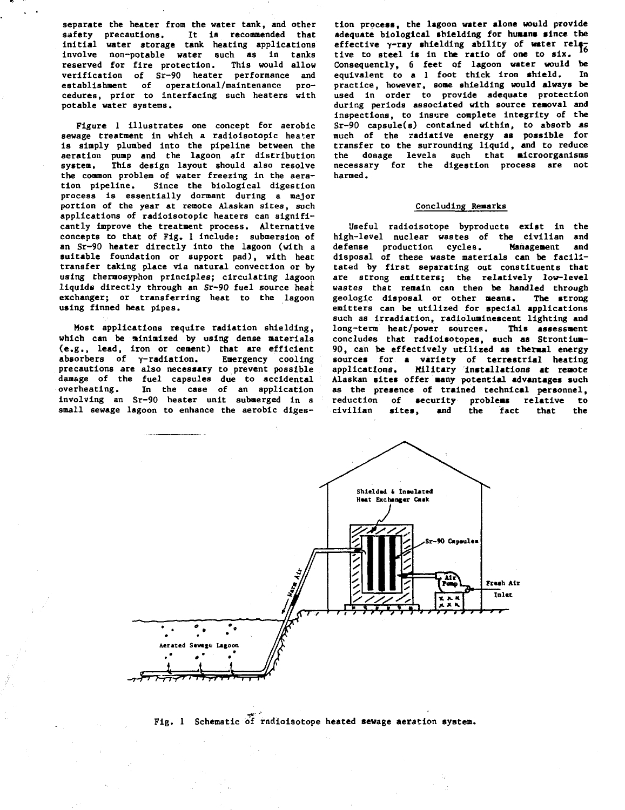**separate the heater from the water tank, and other safety precautions. It is recommended that initial water storage tank heating applications involve non-potable water such as in tanks reserved for fire protection. This would allow verification of Sr-90 heater performance and establishment of operational/maintenance procedures, prior to interfacing such heaters with potable water systems.**

**Figure 1 illustrates one concept for aerobic** sewage treatment in which a radioisotopic heater **is simply plumbed into the pipeline between the aeration pump and the lagoon air distribution system. This design layout should also resolve the common problem of water freezing in the aeration pipeline. Since the biological digestion process is essentially dormant during a major portion of the year at remote Alaskan sites, such applications of radioisotopic heaters can significantly improve the treatment process. Alternative concepts to that of Fig. 1 include: submersion of an Sr-90 heater directly into the lagoon (with a suitable foundation or support pad), with heat transfer taking place via natural convection or by using theraosyphon principles; circulating lagoon liquids directly through an Sr-90 fuel source heai exchanger; or transferring heat to the lagoon using finned heat pipes.**

**Most applications require radiation shielding, which can be minimized by using dense materials (e.g., lead, iron or cement) that are efficient absorbers** of y-radiation. Emergency cooling **precautions are also necessary to prevent possible damage of the fuel capsules due to accidental overheating. In the case of an application involving an Sr-90 heater unit submerged in a small sewage lagoon to enhance the aerobic diges-**

**tion process, the lagoon water alone would provide adequate biological shielding for humans since the** effective y-ray shielding ability of water rela**tive to steel is in the ratio of one to six. Consequently, 6 feet of lagoon water would be equivalent to a 1 foot thick iron shield. In practice, however, some shielding would always be used in order to provide adequate protection during periods associated with source removal and inspections, to insure complete integrity of the Sr-90 capsule(s) contained within, to absorb as much of the radiative energy as possible for transfer to the surrounding liquid, and to reduce the dosage levels such that microorganisms necessary for the digestion process are not harmed.**

## **Concluding Remarks**

**Useful radioisotope byproducts exist in the high-level nuclear wastes of the civilian and** defense production cycles. **disposal of these waste materials can be facilitated by first separating out constituents that are strong emitters; the relatively low-level wastes that remain can then be handled through geologic disposal or other means. The strong emitters can be utilized for special applications such as irradiation, radloluminescent lighting and** long-term heat/power sources. **concludes that radioisotopes, such as Strontium-90, can be effectively utilized as thermal energy sources for a variety of terrestrial heating applications. Military Installations at remote Alaskan sites offer many potential advantages such as the presence of trained technical personnel,** reduction of security problems relative to<br>civilian sites, and the fact that the **civilian sites, and the fact that the**



**Fig. 1 Schematic of radioisotope heated sewage aeration system.**